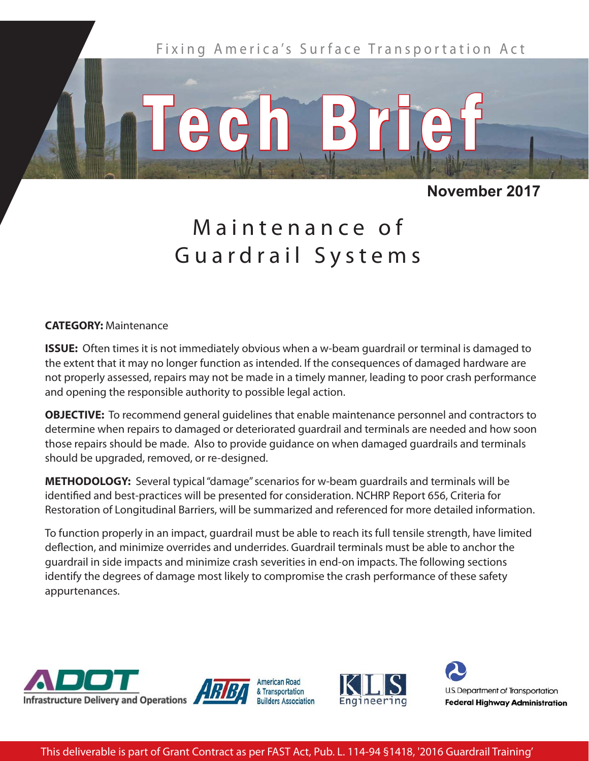

## **November 2017**

# Maintenance of Guardrail Systems

#### **CATEGORY:** Maintenance

**ISSUE:** Often times it is not immediately obvious when a w-beam guardrail or terminal is damaged to the extent that it may no longer function as intended. If the consequences of damaged hardware are not properly assessed, repairs may not be made in a timely manner, leading to poor crash performance and opening the responsible authority to possible legal action.

**OBJECTIVE:** To recommend general guidelines that enable maintenance personnel and contractors to determine when repairs to damaged or deteriorated guardrail and terminals are needed and how soon those repairs should be made. Also to provide guidance on when damaged guardrails and terminals should be upgraded, removed, or re-designed.

**METHODOLOGY:** Several typical "damage" scenarios for w-beam guardrails and terminals will be identified and best-practices will be presented for consideration. NCHRP Report 656, Criteria for Restoration of Longitudinal Barriers, will be summarized and referenced for more detailed information.

To function properly in an impact, guardrail must be able to reach its full tensile strength, have limited deflection, and minimize overrides and underrides. Guardrail terminals must be able to anchor the guardrail in side impacts and minimize crash severities in end-on impacts. The following sections identify the degrees of damage most likely to compromise the crash performance of these safety appurtenances.



This deliverable is part of Grant Contract as per FAST Act, Pub. L. 114-94 §1418, '2016 Guardrail Training'